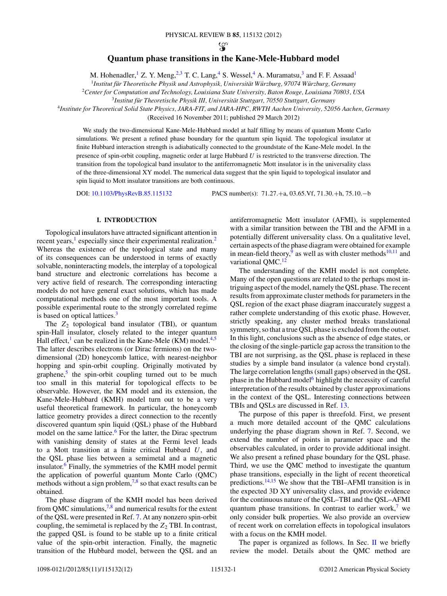$\mathcal{D}$ 

# **Quantum phase transitions in the Kane-Mele-Hubbard model**

M. Hohenadler, <sup>1</sup> Z. Y. Meng, <sup>2,3</sup> T. C. Lang, <sup>4</sup> S. Wessel, <sup>4</sup> A. Muramatsu, <sup>3</sup> and F. F. Assaad<sup>1</sup>

<sup>1</sup>*Institut fur Theoretische Physik und Astrophysik, Universit ¨ at W¨ urzburg, 97074 W ¨ urzburg, Germany ¨*

<sup>2</sup>*Center for Computation and Technology, Louisiana State University, Baton Rouge, Louisiana 70803, USA*

<sup>3</sup> Institut für Theoretische Physik III, Universität Stuttgart, 70550 Stuttgart, Germany

<sup>4</sup>*Institute for Theoretical Solid State Physics, JARA-FIT, and JARA-HPC, RWTH Aachen University, 52056 Aachen, Germany*

(Received 16 November 2011; published 29 March 2012)

We study the two-dimensional Kane-Mele-Hubbard model at half filling by means of quantum Monte Carlo simulations. We present a refined phase boundary for the quantum spin liquid. The topological insulator at finite Hubbard interaction strength is adiabatically connected to the groundstate of the Kane-Mele model. In the presence of spin-orbit coupling, magnetic order at large Hubbard *U* is restricted to the transverse direction. The transition from the topological band insulator to the antiferromagnetic Mott insulator is in the universality class of the three-dimensional XY model. The numerical data suggest that the spin liquid to topological insulator and spin liquid to Mott insulator transitions are both continuous.

DOI: [10.1103/PhysRevB.85.115132](http://dx.doi.org/10.1103/PhysRevB.85.115132) PACS number(s): 71*.*27*.*+a, 03*.*65*.*Vf, 71*.*30*.*+h, 75*.*10*.*−b

# **I. INTRODUCTION**

Topological insulators have attracted significant attention in recent years,<sup>1</sup> especially since their experimental realization.<sup>2</sup> Whereas the existence of the topological state and many of its consequences can be understood in terms of exactly solvable, noninteracting models, the interplay of a topological band structure and electronic correlations has become a very active field of research. The corresponding interacting models do not have general exact solutions, which has made computational methods one of the most important tools. A possible experimental route to the strongly correlated regime is based on optical lattices.<sup>3</sup>

The  $Z_2$  topological band insulator (TBI), or quantum spin-Hall insulator, closely related to the integer quantum Hall effect, $\frac{1}{2}$  can be realized in the Kane-Mele (KM) model.<sup>[4,5](#page-11-0)</sup> The latter describes electrons (or Dirac fermions) on the twodimensional (2D) honeycomb lattice, with nearest-neighbor hopping and spin-orbit coupling. Originally motivated by graphene, $\frac{5}{1}$  the spin-orbit coupling turned out to be much too small in this material for topological effects to be observable. However, the KM model and its extension, the Kane-Mele-Hubbard (KMH) model turn out to be a very useful theoretical framework. In particular, the honeycomb lattice geometry provides a direct connection to the recently discovered quantum spin liquid (QSL) phase of the Hubbard model on the same lattice. $6$  For the latter, the Dirac spectrum with vanishing density of states at the Fermi level leads to a Mott transition at a finite critical Hubbard *U*, and the QSL phase lies between a semimetal and a magnetic insulator. $6$  Finally, the symmetries of the KMH model permit the application of powerful quantum Monte Carlo (QMC) methods without a sign problem, $7,8$  so that exact results can be obtained.

The phase diagram of the KMH model has been derived from QMC simulations,  $7.8$  and numerical results for the extent of the QSL were presented in Ref. [7.](#page-11-0) At any nonzero spin-orbit coupling, the semimetal is replaced by the  $Z_2$  TBI. In contrast, the gapped QSL is found to be stable up to a finite critical value of the spin-orbit interaction. Finally, the magnetic transition of the Hubbard model, between the QSL and an antiferromagnetic Mott insulator (AFMI), is supplemented with a similar transition between the TBI and the AFMI in a potentially different universality class. On a qualitative level, certain aspects of the phase diagram were obtained for example in mean-field theory,<sup>9</sup> as well as with cluster methods<sup>[10,11](#page-11-0)</sup> and variational OMC.<sup>12</sup>

The understanding of the KMH model is not complete. Many of the open questions are related to the perhaps most intriguing aspect of the model, namely the QSL phase. The recent results from approximate cluster methods for parameters in the QSL region of the exact phase diagram inaccurately suggest a rather complete understanding of this exotic phase. However, strictly speaking, any cluster method breaks translational symmetry, so that a true QSL phase is excluded from the outset. In this light, conclusions such as the absence of edge states, or the closing of the single-particle gap across the transition to the TBI are not surprising, as the QSL phase is replaced in these studies by a simple band insulator (a valence bond crystal). The large correlation lengths (small gaps) observed in the QSL phase in the Hubbard model $<sup>6</sup>$  $<sup>6</sup>$  $<sup>6</sup>$  highlight the necessity of careful</sup> interpretation of the results obtained by cluster approximations in the context of the QSL. Interesting connections between TBIs and QSLs are discussed in Ref. [13.](#page-11-0)

The purpose of this paper is threefold. First, we present a much more detailed account of the QMC calculations underlying the phase diagram shown in Ref. [7.](#page-11-0) Second, we extend the number of points in parameter space and the observables calculated, in order to provide additional insight. We also present a refined phase boundary for the QSL phase. Third, we use the QMC method to investigate the quantum phase transitions, especially in the light of recent theoretical predictions. $^{14,15}$  $^{14,15}$  $^{14,15}$  We show that the TBI–AFMI transition is in the expected 3D XY universality class, and provide evidence for the continuous nature of the QSL–TBI and the QSL–AFMI quantum phase transitions. In contrast to earlier work,<sup>7</sup> we only consider bulk properties. We also provide an overview of recent work on correlation effects in topological insulators with a focus on the KMH model.

The paper is organized as follows. In Sec. [II](#page-1-0) we briefly review the model. Details about the QMC method are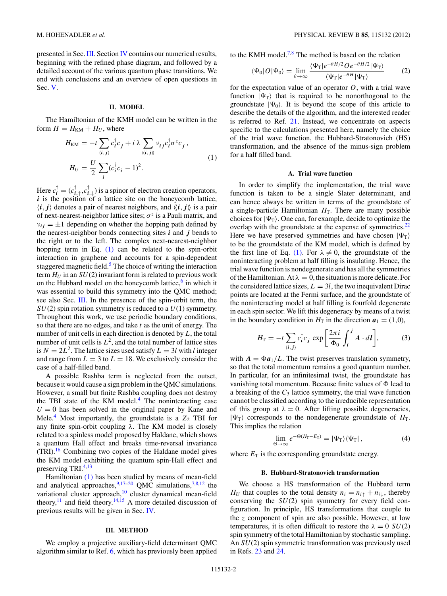<span id="page-1-0"></span>presented in Sec.III. Section [IV](#page-3-0) contains our numerical results, beginning with the refined phase diagram, and followed by a detailed account of the various quantum phase transitions. We end with conclusions and an overview of open questions in Sec. [V.](#page-10-0)

#### **II. MODEL**

The Hamiltonian of the KMH model can be written in the form  $H = H_{\text{KM}} + H_U$ , where

$$
H_{\text{KM}} = -t \sum_{(i,j)} c_i^{\dagger} c_j + i \lambda \sum_{\langle i,j \rangle} v_{ij} c_i^{\dagger} \sigma^z c_j ,
$$
  

$$
H_U = \frac{U}{2} \sum_i (c_i^{\dagger} c_i - 1)^2.
$$
 (1)

Here  $c_i^{\dagger} = (c_{i,\uparrow}^{\dagger}, c_{i,\downarrow}^{\dagger})$  is a spinor of electron creation operators, *i* is the position of a lattice site on the honeycomb lattice,  $\langle i, j \rangle$  denotes a pair of nearest neighbors, and  $\langle\langle i, j \rangle\rangle$  is a pair of next-nearest-neighbor lattice sites; *σ<sup>z</sup>* is a Pauli matrix, and  $v_{ij} = \pm 1$  depending on whether the hopping path defined by the nearest-neighbor bonds connecting sites  $\boldsymbol{i}$  and  $\boldsymbol{j}$  bends to the right or to the left. The complex next-nearest-neighbor hopping term in Eq. (1) can be related to the spin-orbit interaction in graphene and accounts for a spin-dependent staggered magnetic field. $5$  The choice of writing the interaction term  $H_U$  in an  $SU(2)$  invariant form is related to previous work on the Hubbard model on the honeycomb lattice, $6$  in which it was essential to build this symmetry into the QMC method; see also Sec. III. In the presence of the spin-orbit term, the *SU*(2) spin rotation symmetry is reduced to a *U*(1) symmetry. Throughout this work, we use periodic boundary conditions, so that there are no edges, and take *t* as the unit of energy. The number of unit cells in each direction is denoted by *L*, the total number of unit cells is  $L^2$ , and the total number of lattice sites is  $N = 2L^2$ . The lattice sizes used satisfy  $L = 3l$  with *l* integer and range from  $L = 3$  to  $L = 18$ . We exclusively consider the case of a half-filled band.

A possible Rashba term is neglected from the outset, because it would cause a sign problem in the QMC simulations. However, a small but finite Rashba coupling does not destroy the TBI state of the KM model.<sup>[4](#page-11-0)</sup> The noninteracting case  $U = 0$  has been solved in the original paper by Kane and Mele.<sup>[4](#page-11-0)</sup> Most importantly, the groundstate is a  $Z_2$  TBI for any finite spin-orbit coupling *λ*. The KM model is closely related to a spinless model proposed by Haldane, which shows a quantum Hall effect and breaks time-reversal invariance  $(TRI).$ <sup>[16](#page-11-0)</sup> Combining two copies of the Haldane model gives the KM model exhibiting the quantum spin-Hall effect and preserving TRI.<sup>[4,13](#page-11-0)</sup>

Hamiltonian (1) has been studied by means of mean-field and analytical approaches,  $9,17-20$  QMC simulations,  $7,8,12$  the variational cluster approach, $10$  cluster dynamical mean-field theory,<sup>[11](#page-11-0)</sup> and field theory.<sup>[14,15](#page-11-0)</sup> A more detailed discussion of previous results will be given in Sec. [IV.](#page-3-0)

### **III. METHOD**

We employ a projective auxiliary-field determinant QMC algorithm similar to Ref. [6,](#page-11-0) which has previously been applied to the KMH model.<sup>7,8</sup> The method is based on the relation

$$
\langle \Psi_0 | O | \Psi_0 \rangle = \lim_{\theta \to \infty} \frac{\langle \Psi_T | e^{-\theta H/2} O e^{-\theta H/2} | \Psi_T \rangle}{\langle \Psi_T | e^{-\theta H} | \Psi_T \rangle} \tag{2}
$$

for the expectation value of an operator *O*, with a trial wave function  $|\Psi_T\rangle$  that is required to be nonorthogonal to the groundstate  $|\Psi_0\rangle$ . It is beyond the scope of this article to describe the details of the algorithm, and the interested reader is referred to Ref. [21.](#page-11-0) Instead, we concentrate on aspects specific to the calculations presented here, namely the choice of the trial wave function, the Hubbard-Stratonovich (HS) transformation, and the absence of the minus-sign problem for a half filled band.

### **A. Trial wave function**

In order to simplify the implementation, the trial wave function is taken to be a single Slater determinant, and can hence always be written in terms of the groundstate of a single-particle Hamiltonian  $H<sub>T</sub>$ . There are many possible choices for  $|\Psi_T\rangle$ . One can, for example, decide to optimize the overlap with the groundstate at the expense of symmetries.<sup>22</sup> Here we have preserved symmetries and have chosen  $|\Psi_T\rangle$ to be the groundstate of the KM model, which is defined by the first line of Eq. (1). For  $\lambda \neq 0$ , the groundstate of the noninteracting problem at half filling is insulating. Hence, the trial wave function is nondegenerate and has all the symmetries of the Hamiltonian. At  $\lambda = 0$ , the situation is more delicate. For the considered lattice sizes,  $L = 3l$ , the two inequivalent Dirac points are located at the Fermi surface, and the groundstate of the noninteracting model at half filling is fourfold degenerate in each spin sector. We lift this degeneracy by means of a twist in the boundary condition in  $H_T$  in the direction  $a_1 = (1,0)$ ,

$$
H_{\rm T} = -t \sum_{\langle i,j \rangle} c_i^{\dagger} c_j \, \exp\left[\frac{2\pi i}{\Phi_0} \int_i^j A \cdot dI\right],\tag{3}
$$

with  $A = \Phi a_1/L$ . The twist preserves translation symmetry, so that the total momentum remains a good quantum number. In particular, for an infinitesimal twist, the groundstate has vanishing total momentum. Because finite values of  $\Phi$  lead to a breaking of the  $C_3$  lattice symmetry, the trial wave function cannot be classified according to the irreducible representation of this group at  $\lambda = 0$ . After lifting possible degeneracies,  $|\Psi_{\rm T}\rangle$  corresponds to the nondegenerate groundstate of *H*<sub>T</sub>. This implies the relation

$$
\lim_{\Theta \to \infty} e^{-\Theta(H_{\rm T} - E_{\rm T})} = |\Psi_{\rm T}\rangle \langle \Psi_{\rm T}| \,, \tag{4}
$$

where  $E_T$  is the corresponding groundstate energy.

### **B. Hubbard-Stratonovich transformation**

We choose a HS transformation of the Hubbard term *H<sub>U</sub>* that couples to the total density  $n_i = n_{i\uparrow} + n_{i\downarrow}$ , thereby conserving the *SU*(2) spin symmetry for every field configuration. In principle, HS transformations that couple to the *z* component of spin are also possible. However, at low temperatures, it is often difficult to restore the  $\lambda = 0$  *SU(2)* spin symmetry of the total Hamiltonian by stochastic sampling. An *SU*(2) spin symmetric transformation was previously used in Refs. [23](#page-11-0) and [24.](#page-11-0)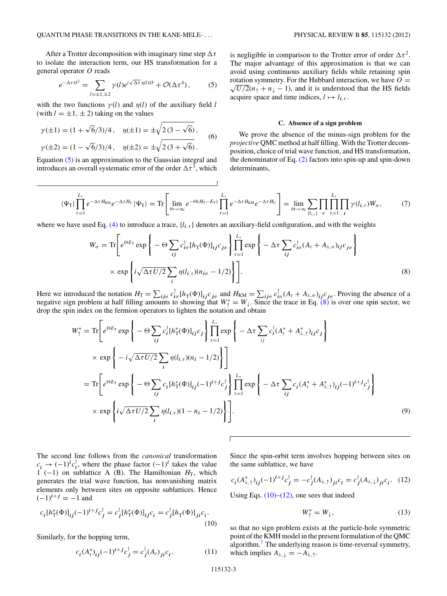After a Trotter decomposition with imaginary time step  *τ* to isolate the interaction term, our HS transformation for a general operator *O* reads

$$
e^{-\Delta \tau O^2} = \sum_{l=\pm 1,\pm 2} \gamma(l) e^{i\sqrt{\Delta \tau} \eta(l)O} + \mathcal{O}(\Delta \tau^4), \tag{5}
$$

with the two functions  $\gamma(l)$  and  $\eta(l)$  of the auxiliary field *l* (with  $l = \pm 1, \pm 2$ ) taking on the values

$$
\gamma(\pm 1) = (1 + \sqrt{6}/3)/4, \quad \eta(\pm 1) = \pm \sqrt{2(3 - \sqrt{6})},
$$
  

$$
\gamma(\pm 2) = (1 - \sqrt{6}/3)/4, \quad \eta(\pm 2) = \pm \sqrt{2(3 + \sqrt{6})}.
$$
 (6)

Equation (5) is an approximation to the Gaussian integral and introduces an overall systematic error of the order  $\Delta \tau^3$ , which

is negligible in comparison to the Trotter error of order  $\Delta \tau^2$ . The major advantage of this approximation is that we can avoid using continuous auxiliary fields while retaining spin rotation symmetry. For the Hubbard interaction, we have  $\ddot{O} =$  $\sqrt{U/2}(n_1 + n_1 - 1)$ , and it is understood that the HS fields acquire space and time indices,  $l \mapsto l_{i,\tau}$ .

#### **C. Absence of a sign problem**

We prove the absence of the minus-sign problem for the *projective* QMC method at half filling. With the Trotter decomposition, choice of trial wave function, and HS transformation, the denominator of Eq. [\(2\)](#page-1-0) factors into spin-up and spin-down determinants,

$$
\langle \Psi_{\mathbf{T}} \vert \prod_{\tau=1}^{L_{\tau}} e^{-\Delta \tau H_{\text{KM}}} e^{-\Delta \tau H_U} \vert \Psi_{\mathbf{T}} \rangle = \text{Tr} \left[ \lim_{\Theta \to \infty} e^{-\Theta(H_{\mathbf{T}} - E_{\mathbf{T}})} \prod_{\tau=1}^{L_{\tau}} e^{-\Delta \tau H_{\text{KM}}} e^{-\Delta \tau H_U} \right] = \lim_{\Theta \to \infty} \sum_{\{l_{i,\tau}\}} \prod_{\sigma} \prod_{\tau=1}^{L_{\tau}} \prod_{i} \gamma(l_{i,\tau}) W_{\sigma}, \tag{7}
$$

where we have used Eq. [\(4\)](#page-1-0) to introduce a trace,  $\{l_{i,\tau}\}\$  denotes an auxiliary-field configuration, and with the weights

$$
W_{\sigma} = \text{Tr}\left[e^{\Theta E_{\text{T}}}\exp\left\{-\Theta\sum_{ij}c_{i\sigma}^{\dagger}[h_{\text{T}}(\Phi)]_{ij}c_{j\sigma}\right\}\prod_{\tau=1}^{L_{\tau}}\exp\left\{-\Delta\tau\sum_{ij}c_{i\sigma}^{\dagger}(A_{t}+A_{\lambda,\sigma})_{ij}c_{j\sigma}\right\}\right] \times \exp\left\{i\sqrt{\Delta\tau U/2}\sum_{i}\eta(l_{i,\tau})(n_{i\sigma}-1/2)\right\}\right].
$$
\n(8)

Here we introduced the notation  $H_T = \sum_{i,j\sigma} c_{i\sigma}^{\dagger} [h_T(\Phi)]_{ij} c_{j\sigma}$  and  $H_{KM} = \sum_{i,j\sigma} c_{i\sigma}^{\dagger} (A_t + A_{\lambda,\sigma})_{ij} c_{j\sigma}$ . Proving the absence of a negative sign problem at half filling amounts to showing that  $W^*_{\uparrow} = W_{\downarrow}$ . Since the trace in Eq. (8) is over one spin sector, we drop the spin index on the fermion operators to lighten the notation and obtain

$$
W_{\uparrow}^{*} = \text{Tr}\left[e^{\Theta E_{\text{T}}}\exp\left\{-\Theta\sum_{ij}c_{i}^{\dagger}[h_{\text{T}}^{*}(\Phi)]_{ij}c_{j}\right\}\prod_{\tau=1}^{L_{\tau}}\exp\left\{-\Delta\tau\sum_{ij}c_{i}^{\dagger}(A_{t}^{*}+A_{\lambda,\uparrow}^{*})_{ij}c_{j}\right\}
$$

$$
\times \exp\left\{-i\sqrt{\Delta\tau U/2}\sum_{i}\eta(l_{i,\tau})(n_{i}-1/2)\right\}\right]
$$

$$
= \text{Tr}\left[e^{\Theta E_{\text{T}}}\exp\left\{-\Theta\sum_{ij}c_{i}[h_{\text{T}}^{*}(\Phi)]_{ij}(-1)^{i+j}c_{j}^{\dagger}\right\}\prod_{\tau=1}^{L_{\tau}}\exp\left\{-\Delta\tau\sum_{ij}c_{i}(A_{t}^{*}+A_{\lambda,\uparrow}^{*})_{ij}(-1)^{i+j}c_{j}^{\dagger}\right\}
$$

$$
\times \exp\left\{i\sqrt{\Delta\tau U/2}\sum_{i}\eta(l_{i,\tau})(1-n_{i}-1/2)\right\}\right].
$$
(9)

Г

The second line follows from the *canonical* transformation  $c_i \rightarrow (-1)^i c_i^{\dagger}$ , where the phase factor  $(-1)^i$  takes the value 1 (-1) on sublattice A (B). The Hamiltonian  $H_T$ , which generates the trial wave function, has nonvanishing matrix elements only between sites on opposite sublattices. Hence  $(-1)^{i+j} = -1$  and

$$
c_i[h_{\rm T}^*(\Phi)]_{ij}(-1)^{i+j}c_j^{\dagger} = c_j^{\dagger}[h_{\rm T}^*(\Phi)]_{ij}c_i = c_j^{\dagger}[h_{\rm T}(\Phi)]_{ji}c_i.
$$
\n(10)

Similarly, for the hopping term,

$$
c_i (A_t^*)_{ij} (-1)^{i+j} c_j^{\dagger} = c_j^{\dagger} (A_t)_{ji} c_i.
$$
 (11)

Since the spin-orbit term involves hopping between sites on the same sublattice, we have

$$
c_i(A_{\lambda,\uparrow}^*)_{ij}(-1)^{i+j}c_j^{\dagger} = -c_j^{\dagger}(A_{\lambda,\uparrow})_{ji}c_i = c_j^{\dagger}(A_{\lambda,\downarrow})_{ji}c_i. \tag{12}
$$

Using Eqs.  $(10)$ – $(12)$ , one sees that indeed

$$
W_{\uparrow}^* = W_{\downarrow},\tag{13}
$$

so that no sign problem exists at the particle-hole symmetric point of the KMH model in the present formulation of the QMC algorithm.<sup>[7](#page-11-0)</sup> The underlying reason is time-reversal symmetry, which implies  $A_{\lambda,\downarrow} = -A_{\lambda,\uparrow}$ .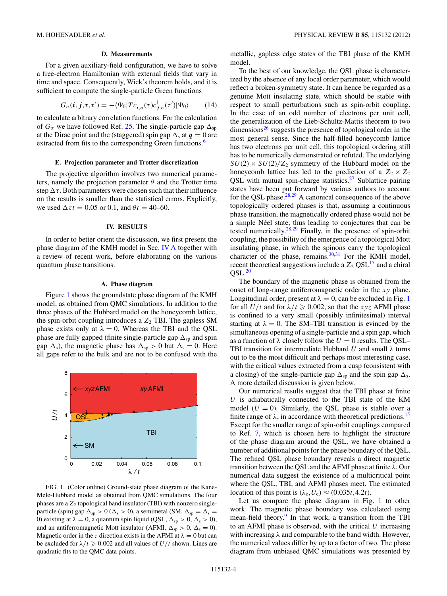# **D. Measurements**

<span id="page-3-0"></span>For a given auxiliary-field configuration, we have to solve a free-electron Hamiltonian with external fields that vary in time and space. Consequently, Wick's theorem holds, and it is sufficient to compute the single-particle Green functions

$$
G_{\sigma}(\boldsymbol{i}, \boldsymbol{j}, \tau, \tau') = -\langle \Psi_0 | T c_{\boldsymbol{i}, \sigma}(\tau) c_{\boldsymbol{j}, \sigma}^{\dagger}(\tau') | \Psi_0 \rangle \tag{14}
$$

to calculate arbitrary correlation functions. For the calculation of  $G_{\sigma}$  we have followed Ref. [25.](#page-11-0) The single-particle gap  $\Delta_{\rm sp}$ at the Dirac point and the (staggered) spin gap  $\Delta_s$  at  $q = 0$  are extracted from fits to the corresponding Green functions.<sup>6</sup>

## **E. Projection parameter and Trotter discretization**

The projective algorithm involves two numerical parameters, namely the projection parameter  $\theta$  and the Trotter time step  *τ* . Both parameters were chosen such that their influence on the results is smaller than the statistical errors. Explicitly, we used  $\Delta \tau t = 0.05$  or 0.1, and  $\theta t = 40{\text -}60$ .

#### **IV. RESULTS**

In order to better orient the discussion, we first present the phase diagram of the KMH model in Sec. IV A together with a review of recent work, before elaborating on the various quantum phase transitions.

#### **A. Phase diagram**

Figure 1 shows the groundstate phase diagram of the KMH model, as obtained from QMC simulations. In addition to the three phases of the Hubbard model on the honeycomb lattice, the spin-orbit coupling introduces a  $Z_2$  TBI. The gapless SM phase exists only at  $\lambda = 0$ . Whereas the TBI and the QSL phase are fully gapped (finite single-particle gap  $\Delta_{sp}$  and spin gap  $\Delta_s$ ), the magnetic phase has  $\Delta_{sp} > 0$  but  $\Delta_s = 0$ . Here all gaps refer to the bulk and are not to be confused with the



FIG. 1. (Color online) Ground-state phase diagram of the Kane-Mele-Hubbard model as obtained from QMC simulations. The four phases are a  $Z_2$  topological band insulator (TBI) with nonzero singleparticle (spin) gap  $\Delta_{sp} > 0$  ( $\Delta_s > 0$ ), a semimetal (SM,  $\Delta_{sp} = \Delta_s =$ 0) existing at  $\lambda = 0$ , a quantum spin liquid (QSL,  $\Delta_{sp} > 0$ ,  $\Delta_s > 0$ ), and an antiferromagnetic Mott insulator (AFMI,  $\Delta_{sp} > 0$ ,  $\Delta_s = 0$ ). Magnetic order in the *z* direction exists in the AFMI at  $\lambda = 0$  but can be excluded for  $\lambda/t \geqslant 0.002$  and all values of  $U/t$  shown. Lines are quadratic fits to the QMC data points.

metallic, gapless edge states of the TBI phase of the KMH model.

To the best of our knowledge, the QSL phase is characterized by the absence of any local order parameter, which would reflect a broken-symmetry state. It can hence be regarded as a genuine Mott insulating state, which should be stable with respect to small perturbations such as spin-orbit coupling. In the case of an odd number of electrons per unit cell, the generalization of the Lieb-Schultz-Mattis theorem to two dimensions $26$  suggests the presence of topological order in the most general sense. Since the half-filled honeycomb lattice has two electrons per unit cell, this topological ordering still has to be numerically demonstrated or refuted. The underlying  $SU(2) \times SU(2)/Z_2$  symmetry of the Hubbard model on the honeycomb lattice has led to the prediction of a  $Z_2 \times Z_2$ QSL with mutual spin-charge statistics. $27$  Sublattice pairing states have been put forward by various authors to account for the QSL phase. $28,29$  A canonical consequence of the above topologically ordered phases is that, assuming a continuous phase transition, the magnetically ordered phase would not be a simple Néel state, thus leading to conjectures that can be tested numerically. $28,29$  Finally, in the presence of spin-orbit coupling, the possibility of the emergence of a topological Mott insulating phase, in which the spinons carry the topological character of the phase, remains. $30,31$  For the KMH model, recent theoretical suggestions include a  $Z_2$  QSL<sup>15</sup> and a chiral  $QSL.<sup>20</sup>$  $QSL.<sup>20</sup>$  $QSL.<sup>20</sup>$ 

The boundary of the magnetic phase is obtained from the onset of long-range antiferromagnetic order in the *xy* plane. Longitudinal order, present at  $\lambda = 0$ , can be excluded in Fig. 1 for all  $U/t$  and for  $\lambda/t \geq 0.002$ , so that the *xyz* AFMI phase is confined to a very small (possibly infinitesimal) interval starting at  $\lambda = 0$ . The SM-TBI transition is evinced by the simultaneous opening of a single-particle and a spin gap, which as a function of  $\lambda$  closely follow the  $U = 0$  results. The QSL– TBI transition for intermediate Hubbard *U* and small *λ* turns out to be the most difficult and perhaps most interesting case, with the critical values extracted from a cusp (consistent with a closing) of the single-particle gap  $\Delta_{sp}$  and the spin gap  $\Delta_s$ . A more detailed discussion is given below.

Our numerical results suggest that the TBI phase at finite *U* is adiabatically connected to the TBI state of the KM model  $(U = 0)$ . Similarly, the QSL phase is stable over a finite range of  $\lambda$ , in accordance with theoretical predictions.<sup>[15](#page-11-0)</sup> Except for the smaller range of spin-orbit couplings compared to Ref. [7,](#page-11-0) which is chosen here to highlight the structure of the phase diagram around the QSL, we have obtained a number of additional points for the phase boundary of the QSL. The refined QSL phase boundary reveals a direct magnetic transition between the QSL and the AFMI phase at finite *λ*. Our numerical data suggest the existence of a multicritical point where the QSL, TBI, and AFMI phases meet. The estimated location of this point is  $(\lambda_c, U_c) \approx (0.035t, 4.2t)$ .

Let us compare the phase diagram in Fig. 1 to other work. The magnetic phase boundary was calculated using mean-field theory.<sup>9</sup> In that work, a transition from the TBI to an AFMI phase is observed, with the critical *U* increasing with increasing *λ* and comparable to the band width. However, the numerical values differ by up to a factor of two. The phase diagram from unbiased QMC simulations was presented by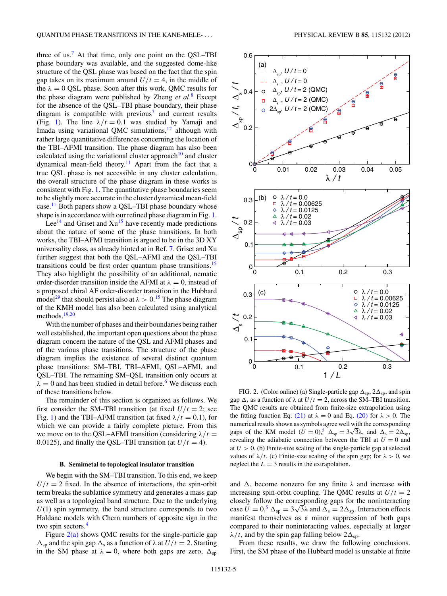<span id="page-4-0"></span>three of us.<sup>7</sup> At that time, only one point on the  $QSL-TBI$ phase boundary was available, and the suggested dome-like structure of the QSL phase was based on the fact that the spin gap takes on its maximum around  $U/t = 4$ , in the middle of the  $\lambda = 0$  QSL phase. Soon after this work, QMC results for the phase diagram were published by Zheng *et al.*[8](#page-11-0) Except for the absence of the QSL–TBI phase boundary, their phase diagram is compatible with previous<sup>7</sup> and current results (Fig. [1\)](#page-3-0). The line  $\lambda/t = 0.1$  was studied by Yamaji and Imada using variational QMC simulations,<sup>12</sup> although with rather large quantitative differences concerning the location of the TBI–AFMI transition. The phase diagram has also been calculated using the variational cluster approach<sup>[10](#page-11-0)</sup> and cluster dynamical mean-field theory.<sup>11</sup> Apart from the fact that a true QSL phase is not accessible in any cluster calculation, the overall structure of the phase diagram in these works is consistent with Fig. [1.](#page-3-0) The quantitative phase boundaries seem to be slightly more accurate in the cluster dynamical mean-field case.<sup>[11](#page-11-0)</sup> Both papers show a QSL–TBI phase boundary whose shape is in accordance with our refined phase diagram in Fig. [1.](#page-3-0)

Lee<sup>14</sup> and Griset and  $Xu^{15}$  have recently made predictions about the nature of some of the phase transitions. In both works, the TBI–AFMI transition is argued to be in the 3D XY universality class, as already hinted at in Ref. [7.](#page-11-0) Griset and Xu further suggest that both the QSL–AFMI and the QSL–TBI transitions could be first order quantum phase transitions.<sup>[15](#page-11-0)</sup> They also highlight the possibility of an additional, nematic order-disorder transition inside the AFMI at  $\lambda = 0$ , instead of a proposed chiral AF order-disorder transition in the Hubbard model<sup>[29](#page-11-0)</sup> that should persist also at  $\lambda > 0$ .<sup>[15](#page-11-0)</sup> The phase diagram of the KMH model has also been calculated using analytical methods. $19,20$ 

With the number of phases and their boundaries being rather well established, the important open questions about the phase diagram concern the nature of the QSL and AFMI phases and of the various phase transitions. The structure of the phase diagram implies the existence of several distinct quantum phase transitions: SM–TBI, TBI–AFMI, QSL–AFMI, and QSL–TBI. The remaining SM–QSL transition only occurs at  $\lambda = 0$  and has been studied in detail before.<sup>6</sup> We discuss each of these transitions below.

The remainder of this section is organized as follows. We first consider the SM–TBI transition (at fixed  $U/t = 2$ ; see Fig. [1\)](#page-3-0) and the TBI–AFMI transition (at fixed  $\lambda/t = 0.1$ ), for which we can provide a fairly complete picture. From this we move on to the QSL–AFMI transition (considering  $\lambda/t =$ 0.0125), and finally the QSL–TBI transition (at  $U/t = 4$ ).

#### **B. Semimetal to topological insulator transition**

We begin with the SM–TBI transition. To this end, we keep  $U/t = 2$  fixed. In the absence of interactions, the spin-orbit term breaks the sublattice symmetry and generates a mass gap as well as a topological band structure. Due to the underlying  $U(1)$  spin symmetry, the band structure corresponds to two Haldane models with Chern numbers of opposite sign in the two spin sectors[.4](#page-11-0)

Figure  $2(a)$  shows QMC results for the single-particle gap  $\Delta$ <sub>sp</sub> and the spin gap  $\Delta$ <sub>s</sub> as a function of  $\lambda$  at *U/t* = 2. Starting in the SM phase at  $\lambda = 0$ , where both gaps are zero,  $\Delta_{\rm sp}$ 



FIG. 2. (Color online) (a) Single-particle gap  $\Delta_{\text{sp}}$ ,  $2\Delta_{\text{sp}}$ , and spin gap  $\Delta_s$  as a function of  $\lambda$  at  $U/t = 2$ , across the SM-TBI transition. The QMC results are obtained from finite-size extrapolation using the fitting function Eq. [\(21\)](#page-9-0) at  $\lambda = 0$  and Eq. [\(20\)](#page-8-0) for  $\lambda > 0$ . The numerical results shown as symbols agree well with the corresponding numerical results shown as symbols agree well with the corresponding<br>gaps of the KM model  $(U = 0)$ ,<sup>5</sup>  $\Delta_{sp} = 3\sqrt{3}\lambda$ , and  $\Delta_s = 2\Delta_{sp}$ , revealing the adiabatic connection between the TBI at  $U = 0$  and at  $U > 0$ . (b) Finite-size scaling of the single-particle gap at selected values of  $\lambda/t$ . (c) Finite-size scaling of the spin gap; for  $\lambda > 0$ , we neglect the  $L = 3$  results in the extrapolation.

and  $\Delta$ <sub>s</sub> become nonzero for any finite  $\lambda$  and increase with increasing spin-orbit coupling. The QMC results at  $U/t = 2$ closely follow the corresponding gaps for the noninteracting closely follow the corresponding gaps for the noninteracting case  $U = 0$ ,<sup>[5](#page-11-0)</sup>  $\Delta_{sp} = 3\sqrt{3}\lambda$  and  $\Delta_s = 2\Delta_{sp}$ . Interaction effects manifest themselves as a minor suppression of both gaps compared to their noninteracting values, especially at larger  $\lambda/t$ , and by the spin gap falling below  $2\Delta_{\rm sp}$ .

From these results, we draw the following conclusions. First, the SM phase of the Hubbard model is unstable at finite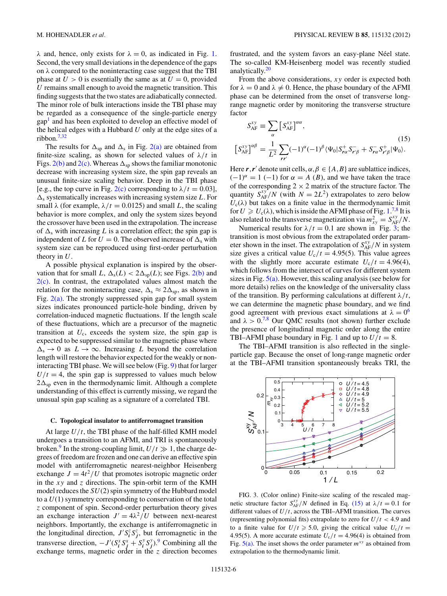<span id="page-5-0"></span>*λ* and, hence, only exists for  $λ = 0$ , as indicated in Fig. [1.](#page-3-0) Second, the very small deviations in the dependence of the gaps on  $\lambda$  compared to the noninteracting case suggest that the TBI phase at  $U > 0$  is essentially the same as at  $U = 0$ , provided *U* remains small enough to avoid the magnetic transition. This finding suggests that the two states are adiabatically connected. The minor role of bulk interactions inside the TBI phase may be regarded as a consequence of the single-particle energy  $gap<sup>1</sup>$  and has been exploited to develop an effective model of the helical edges with a Hubbard *U* only at the edge sites of a ribbon.[7,32](#page-11-0)

The results for  $\Delta_{sp}$  and  $\Delta_s$  in Fig. [2\(a\)](#page-4-0) are obtained from finite-size scaling, as shown for selected values of  $\lambda/t$  in Figs.  $2(b)$  and  $2(c)$ . Whereas  $\Delta_{sp}$  shows the familiar monotonic decrease with increasing system size, the spin gap reveals an unusual finite-size scaling behavior. Deep in the TBI phase [e.g., the top curve in Fig. [2\(c\)](#page-4-0) corresponding to  $\lambda/t = 0.03$ ], <sup>s</sup> systematically increases with increasing system size *L*. For small  $\lambda$  (for example,  $\lambda/t = 0.0125$ ) and small *L*, the scaling behavior is more complex, and only the system sizes beyond the crossover have been used in the extrapolation. The increase of  $\Delta$ <sub>s</sub> with increasing *L* is a correlation effect; the spin gap is independent of *L* for  $U = 0$ . The observed increase of  $\Delta_s$  with system size can be reproduced using first-order perturbation theory in *U*.

A possible physical explanation is inspired by the observation that for small *L*,  $\Delta_s(L) < 2\Delta_{sp}(L)$ ; see Figs. [2\(b\)](#page-4-0) and  $2(c)$ . In contrast, the extrapolated values almost match the relation for the noninteracting case,  $\Delta_s \approx 2\Delta_{sp}$ , as shown in Fig.  $2(a)$ . The strongly suppressed spin gap for small system sizes indicates pronounced particle-hole binding, driven by correlation-induced magnetic fluctuations. If the length scale of these fluctuations, which are a precursor of the magnetic transition at  $U_c$ , exceeds the system size, the spin gap is expected to be suppressed similar to the magnetic phase where  $\Delta_s \rightarrow 0$  as  $L \rightarrow \infty$ . Increasing *L* beyond the correlation length will restore the behavior expected for the weakly or noninteracting TBI phase. We will see below (Fig. [9\)](#page-9-0) that for larger  $U/t = 4$ , the spin gap is suppressed to values much below  $2\Delta_{\rm sp}$  even in the thermodynamic limit. Although a complete understanding of this effect is currently missing, we regard the unusual spin gap scaling as a signature of a correlated TBI.

#### **C. Topological insulator to antiferromagnet transition**

At large *U/t*, the TBI phase of the half-filled KMH model undergoes a transition to an AFMI, and TRI is spontaneously broken.<sup>[9](#page-11-0)</sup> In the strong-coupling limit,  $U/t \gg 1$ , the charge degrees of freedom are frozen and one can derive an effective spin model with antiferromagnetic nearest-neighbor Heisenberg exchange  $J = 4t^2/U$  that promotes isotropic magnetic order in the *xy* and *z* directions. The spin-orbit term of the KMH model reduces the *SU*(2) spin symmetry of the Hubbard model to a *U*(1) symmetry corresponding to conservation of the total *z* component of spin. Second-order perturbation theory gives an exchange interaction  $J' = 4\lambda^2/U$  between next-nearest neighbors. Importantly, the exchange is antiferromagnetic in the longitudinal direction,  $J' S_i^z S_j^z$ , but ferromagnetic in the transverse direction,  $-J'(S_i^x S_j^x + S_i^y S_j^y)$ .<sup>[9](#page-11-0)</sup> Combining all the exchange terms, magnetic order in the *z* direction becomes

frustrated, and the system favors an easy-plane Néel state. The so-called KM-Heisenberg model was recently studied analytically.<sup>20</sup>

From the above considerations, *xy* order is expected both for  $\lambda = 0$  and  $\lambda \neq 0$ . Hence, the phase boundary of the AFMI phase can be determined from the onset of transverse longrange magnetic order by monitoring the transverse structure factor

$$
S_{\rm AF}^{xy} \equiv \sum_{\alpha} \left[ S_{\rm AF}^{xy} \right]^{\alpha \alpha},\tag{15}
$$
\n
$$
\left[ S_{\rm AF}^{xy} \right]^{\alpha \beta} = \frac{1}{L^2} \sum_{rr'} (-1)^{\alpha} (-1)^{\beta} \langle \Psi_0 | S_{r\alpha}^+ S_{r'\beta}^- + S_{r\alpha}^- S_{r'\beta}^+ | \Psi_0 \rangle.
$$

Here  $r, r'$  denote unit cells,  $\alpha, \beta \in \{A, B\}$  are sublattice indices,  $(-1)^{\alpha} = 1$  (-1) for  $\alpha = A$  (*B*), and we have taken the trace of the corresponding  $2 \times 2$  matrix of the structure factor. The quantity  $S_{AF}^{xy}$ /N (with  $N = 2L^2$ ) extrapolates to zero below  $U_c(\lambda)$  but takes on a finite value in the thermodynamic limit for  $U \geq U_c(\lambda)$ , which is inside the AFMI phase of Fig. [1.](#page-3-0)<sup>[7,8](#page-11-0)</sup> It is also related to the transverse magnetization via  $m_{xy}^2 = S_{AF}^{xy}/N$ .

Numerical results for  $\lambda/t = 0.1$  are shown in Fig. 3; the transition is most obvious from the extrapolated order parameter shown in the inset. The extrapolation of  $S_{AF}^{xy}/N$  in system size gives a critical value  $U_c/t = 4.95(5)$ . This value agrees with the slightly more accurate estimate  $U_c/t = 4.96(4)$ , which follows from the intersect of curves for different system sizes in Fig. [5\(a\).](#page-7-0) However, this scaling analysis (see below for more details) relies on the knowledge of the universality class of the transition. By performing calculations at different  $\lambda/t$ , we can determine the magnetic phase boundary, and we find good agreement with previous exact simulations at  $\lambda = 0^6$ and  $\lambda > 0^{7,8}$  $\lambda > 0^{7,8}$  $\lambda > 0^{7,8}$  Our QMC results (not shown) further exclude the presence of longitudinal magnetic order along the entire TBI–AFMI phase boundary in Fig. [1](#page-3-0) and up to  $U/t = 8$ .

The TBI–AFMI transition is also reflected in the singleparticle gap. Because the onset of long-range magnetic order at the TBI–AFMI transition spontaneously breaks TRI, the



FIG. 3. (Color online) Finite-size scaling of the rescaled magnetic structure factor  $S_{AF}^{xy}/N$  defined in Eq. (15) at  $\lambda/t = 0.1$  for different values of *U/t*, across the TBI–AFMI transition. The curves (representing polynomial fits) extrapolate to zero for *U/t <* 4*.*9 and to a finite value for  $U/t \ge 5.0$ , giving the critical value  $U_c/t =$ 4.95(5). A more accurate estimate  $U_c/t = 4.96(4)$  is obtained from Fig.  $5(a)$ . The inset shows the order parameter  $m^{xy}$  as obtained from extrapolation to the thermodynamic limit.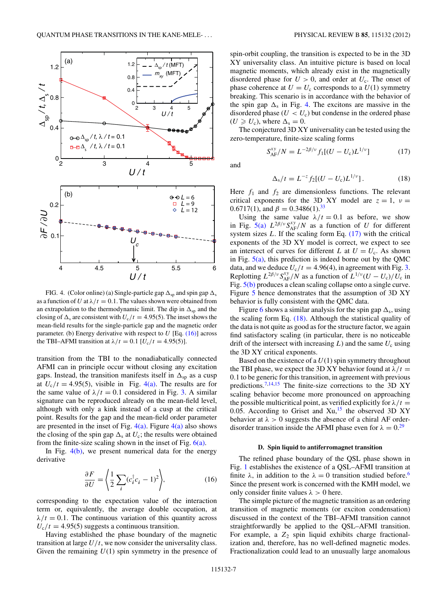<span id="page-6-0"></span>

FIG. 4. (Color online) (a) Single-particle gap  $\Delta_{sp}$  and spin gap  $\Delta_s$ as a function of *U* at  $\lambda/t = 0.1$ . The values shown were obtained from an extrapolation to the thermodynamic limit. The dip in  $\Delta_{sp}$  and the closing of  $\Delta$ <sub>s</sub> are consistent with  $U_c/t = 4.95(5)$ . The inset shows the mean-field results for the single-particle gap and the magnetic order parameter. (b) Energy derivative with respect to  $U$  [Eq.  $(16)$ ] across the TBI–AFMI transition at  $\lambda/t = 0.1$  [ $U_c/t = 4.95(5)$ ].

transition from the TBI to the nonadiabatically connected AFMI can in principle occur without closing any excitation gaps. Instead, the transition manifests itself in  $\Delta_{sp}$  as a cusp at  $U_c/t = 4.95(5)$ , visible in Fig. 4(a). The results are for the same value of  $\lambda/t = 0.1$  considered in Fig. [3.](#page-5-0) A similar signature can be reproduced already on the mean-field level, although with only a kink instead of a cusp at the critical point. Results for the gap and the mean-field order parameter are presented in the inset of Fig.  $4(a)$ . Figure  $4(a)$  also shows the closing of the spin gap  $\Delta_s$  at  $U_c$ ; the results were obtained from the finite-size scaling shown in the inset of Fig.  $6(a)$ .

In Fig.  $4(b)$ , we present numerical data for the energy derivative

$$
\frac{\partial F}{\partial U} = \left\langle \frac{1}{2} \sum_{i} (c_i^{\dagger} c_i - 1)^2 \right\rangle, \tag{16}
$$

corresponding to the expectation value of the interaction term or, equivalently, the average double occupation, at  $\lambda/t = 0.1$ . The continuous variation of this quantity across  $U_c/t = 4.95(5)$  suggests a continuous transition.

Having established the phase boundary of the magnetic transition at large  $U/t$ , we now consider the universality class. Given the remaining *U*(1) spin symmetry in the presence of spin-orbit coupling, the transition is expected to be in the 3D XY universality class. An intuitive picture is based on local magnetic moments, which already exist in the magnetically disordered phase for  $U > 0$ , and order at  $U_c$ . The onset of phase coherence at  $U = U_c$  corresponds to a  $U(1)$  symmetry breaking. This scenario is in accordance with the behavior of the spin gap  $\Delta_s$  in Fig. 4. The excitons are massive in the disordered phase  $(U < U_c)$  but condense in the ordered phase  $(U \geq U_c)$ , where  $\Delta_s = 0$ .

The conjectured 3D XY universality can be tested using the zero-temperature, finite-size scaling forms

$$
S_{\rm AF}^{xy}/N = L^{-2\beta/\nu} f_1 [(U - U_{\rm c}) L^{1/\nu}] \tag{17}
$$

and

$$
\Delta_{\rm s}/t = L^{-z} f_2 [(U - U_{\rm c}) L^{1/\nu}]. \tag{18}
$$

Here  $f_1$  and  $f_2$  are dimensionless functions. The relevant critical exponents for the 3D XY model are  $z = 1$ ,  $v =$ 0.6717(1), and  $\beta = 0.3486(1)^{33}$  $\beta = 0.3486(1)^{33}$  $\beta = 0.3486(1)^{33}$ 

Using the same value  $\lambda/t = 0.1$  as before, we show in Fig. [5\(a\)](#page-7-0)  $L^{2\beta/\nu} S_{AF}^{xy}/N$  as a function of *U* for different system sizes *L*. If the scaling form Eq. (17) with the critical exponents of the 3D XY model is correct, we expect to see an intersect of curves for different *L* at  $U = U_c$ . As shown in Fig.  $5(a)$ , this prediction is indeed borne out by the QMC data, and we deduce  $U_c/t = 4.96(4)$ , in agreement with Fig. [3.](#page-5-0) Replotting  $L^{2\beta/\nu} S_{AF}^{xy}/N$  as a function of  $L^{1/\nu} (U - U_c)/U_c$  in Fig. [5\(b\)](#page-7-0) produces a clean scaling collapse onto a single curve. Figure [5](#page-7-0) hence demonstrates that the assumption of 3D XY behavior is fully consistent with the QMC data.

Figure [6](#page-7-0) shows a similar analysis for the spin gap  $\Delta_s$ , using the scaling form Eq.  $(18)$ . Although the statistical quality of the data is not quite as good as for the structure factor, we again find satisfactory scaling (in particular, there is no noticeable drift of the intersect with increasing  $L$ ) and the same  $U_c$  using the 3D XY critical exponents.

Based on the existence of a *U*(1) spin symmetry throughout the TBI phase, we expect the 3D XY behavior found at  $\lambda/t =$ 0*.*1 to be generic for this transition, in agreement with previous predictions.<sup>[7,14,15](#page-11-0)</sup> The finite-size corrections to the 3D XY scaling behavior become more pronounced on approaching the possible multicritical point, as verified explicitly for  $\lambda/t =$ 0.05. According to Griset and  $Xu$ ,<sup>[15](#page-11-0)</sup> the observed 3D XY behavior at  $\lambda > 0$  suggests the absence of a chiral AF orderdisorder transition inside the AFMI phase even for  $\lambda = 0.29$  $\lambda = 0.29$ 

#### **D. Spin liquid to antiferromagnet transition**

The refined phase boundary of the QSL phase shown in Fig. [1](#page-3-0) establishes the existence of a QSL–AFMI transition at finite  $\lambda$ , in addition to the  $\lambda = 0$  transition studied before.<sup>[6](#page-11-0)</sup> Since the present work is concerned with the KMH model, we only consider finite values  $\lambda > 0$  here.

The simple picture of the magnetic transition as an ordering transition of magnetic moments (or exciton condensation) discussed in the context of the TBI–AFMI transition cannot straightforwardly be applied to the QSL–AFMI transition. For example, a  $Z_2$  spin liquid exhibits charge fractionalization and, therefore, has no well-defined magnetic modes. Fractionalization could lead to an unusually large anomalous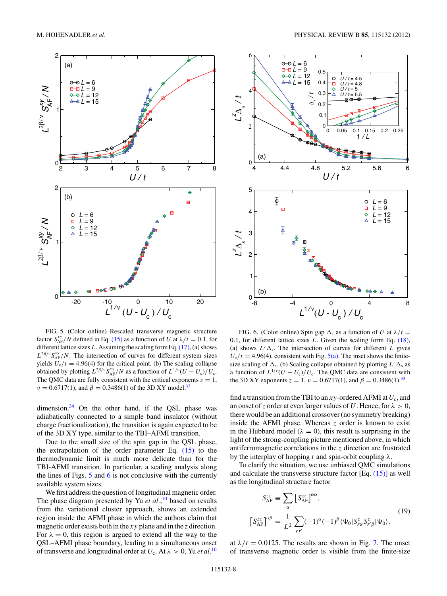<span id="page-7-0"></span>

FIG. 5. (Color online) Rescaled transverse magnetic structure factor  $S_{AF}^{xy}/N$  defined in Eq. [\(15\)](#page-5-0) as a function of *U* at  $\lambda/t = 0.1$ , for different lattice sizes*L*. Assuming the scaling form Eq.[\(17\),](#page-6-0) (a) shows  $L^{2\beta/\nu} S_{AF}^{xy}/N$ . The intersection of curves for different system sizes yields  $U_c/t = 4.96(4)$  for the critical point. (b) The scaling collapse obtained by plotting  $L^{2\beta/\nu} S_{AF}^{xy}/N$  as a function of  $L^{1/\nu} (U - U_c)/U_c$ . The QMC data are fully consistent with the critical exponents  $z = 1$ ,  $\nu = 0.6717(1)$ , and  $\beta = 0.3486(1)$  of the 3D XY model.<sup>33</sup>

dimension. $34$  On the other hand, if the QSL phase was adiabatically connected to a simple band insulator (without charge fractionalization), the transition is again expected to be of the 3D XY type, similar to the TBI–AFMI transition.

Due to the small size of the spin gap in the QSL phase, the extrapolation of the order parameter Eq. [\(15\)](#page-5-0) to the thermodynamic limit is much more delicate than for the TBI-AFMI transition. In particular, a scaling analysis along the lines of Figs. 5 and 6 is not conclusive with the currently available system sizes.

We first address the question of longitudinal magnetic order. The phase diagram presented by Yu *et al.*, [10](#page-11-0) based on results from the variational cluster approach, shows an extended region inside the AFMI phase in which the authors claim that magnetic order exists both in the *xy* plane and in the *z* direction. For  $\lambda = 0$ , this region is argued to extend all the way to the QSL–AFMI phase boundary, leading to a simultaneous onset of transverse and longitudinal order at  $U_c$ . At  $\lambda > 0$ , Yu *et al.*<sup>[10](#page-11-0)</sup>



FIG. 6. (Color online) Spin gap  $\Delta_s$  as a function of *U* at  $\lambda/t =$ 0*.*1, for different lattice sizes *L*. Given the scaling form Eq. [\(18\),](#page-6-0) (a) shows  $L^z \Delta_s$ . The intersection of curves for different *L* gives  $U_c/t = 4.96(4)$ , consistent with Fig. 5(a). The inset shows the finitesize scaling of  $\Delta$ <sub>s</sub>. (b) Scaling collapse obtained by plotting  $L^z \Delta$ <sub>s</sub> as a function of  $L^{1/\nu}(U - U_c)/U_c$ . The QMC data are consistent with the 3D XY exponents  $z = 1$ ,  $\nu = 0.6717(1)$ , and  $\beta = 0.3486(1)$ .<sup>33</sup>

find a transition from the TBI to an  $xy$ -ordered AFMI at  $U_c$ , and an onset of *z* order at even larger values of *U*. Hence, for  $\lambda > 0$ , there would be an additional crossover (no symmetry breaking) inside the AFMI phase. Whereas *z* order is known to exist in the Hubbard model ( $\lambda = 0$ ), this result is surprising in the light of the strong-coupling picture mentioned above, in which antiferromagnetic correlations in the *z* direction are frustrated by the interplay of hopping *t* and spin-orbit coupling *λ*.

To clarify the situation, we use unbiased QMC simulations and calculate the transverse structure factor [Eq. [\(15\)\]](#page-5-0) as well as the longitudinal structure factor

$$
S_{\rm AF}^{zz} \equiv \sum_{\alpha} \left[ S_{\rm AF}^{zz} \right]^{\alpha \alpha},
$$
  
\n
$$
\left[ S_{\rm AF}^{zz} \right]^{\alpha \beta} = \frac{1}{L^2} \sum_{rr'} (-1)^{\alpha} (-1)^{\beta} \langle \Psi_0 | S_{r\alpha}^z S_{r'\beta}^z | \Psi_0 \rangle,
$$
\n(19)

at  $\lambda/t = 0.0125$ . The results are shown in Fig. [7.](#page-8-0) The onset of transverse magnetic order is visible from the finite-size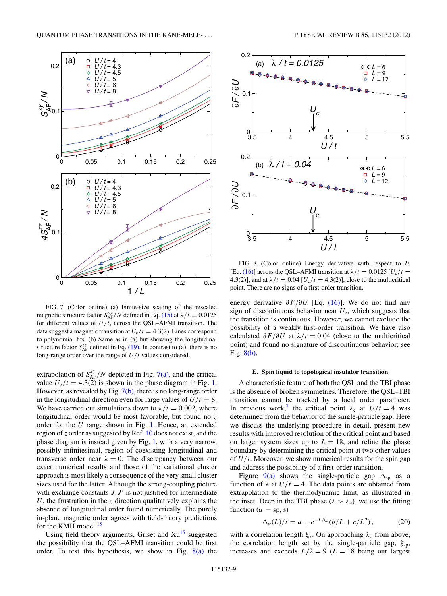<span id="page-8-0"></span>

FIG. 7. (Color online) (a) Finite-size scaling of the rescaled magnetic structure factor  $S_{AF}^{xy}/N$  defined in Eq. [\(15\)](#page-5-0) at  $\lambda/t = 0.0125$ for different values of *U/t*, across the QSL–AFMI transition. The data suggest a magnetic transition at  $U_c/t = 4.3(2)$ . Lines correspond to polynomial fits. (b) Same as in (a) but showing the longitudinal structure factor  $S_{AF}^{zz}$  defined in Eq. [\(19\).](#page-7-0) In contrast to (a), there is no long-range order over the range of *U/t* values considered.

extrapolation of  $S_{AF}^{xy}/N$  depicted in Fig. 7(a), and the critical value  $U_c/t = 4.3(2)$  is shown in the phase diagram in Fig. [1.](#page-3-0) However, as revealed by Fig.  $7(b)$ , there is no long-range order in the longitudinal direction even for large values of  $U/t = 8$ . We have carried out simulations down to  $\lambda/t = 0.002$ , where longitudinal order would be most favorable, but found no *z* order for the *U* range shown in Fig. [1.](#page-3-0) Hence, an extended region of *z* order as suggested by Ref. [10](#page-11-0) does not exist, and the phase diagram is instead given by Fig. [1,](#page-3-0) with a very narrow, possibly infinitesimal, region of coexisting longitudinal and transverse order near  $\lambda = 0$ . The discrepancy between our exact numerical results and those of the variational cluster approach is most likely a consequence of the very small cluster sizes used for the latter. Although the strong-coupling picture with exchange constants  $J, J'$  is not justified for intermediate  $U$ , the frustration in the  $z$  direction qualitatively explains the absence of longitudinal order found numerically. The purely in-plane magnetic order agrees with field-theory predictions for the KMH model.<sup>[15](#page-11-0)</sup>

Using field theory arguments, Griset and  $Xu^{15}$  suggested the possibility that the QSL–AFMI transition could be first order. To test this hypothesis, we show in Fig.  $8(a)$  the



FIG. 8. (Color online) Energy derivative with respect to *U* [Eq. [\(16\)\]](#page-6-0) across the QSL–AFMI transition at  $\lambda/t = 0.0125$  [ $U_c/t =$ 4.3(2)], and at  $\lambda/t = 0.04$  [ $U_c/t = 4.3(2)$ ], close to the multicritical point. There are no signs of a first-order transition.

energy derivative *∂F/∂U* [Eq. [\(16\)\]](#page-6-0). We do not find any sign of discontinuous behavior near *U*c, which suggests that the transition is continuous. However, we cannot exclude the possibility of a weakly first-order transition. We have also calculated  $\partial F/\partial U$  at  $\lambda/t = 0.04$  (close to the multicritical point) and found no signature of discontinuous behavior; see Fig. 8(b).

# **E. Spin liquid to topological insulator transition**

A characteristic feature of both the QSL and the TBI phase is the absence of broken symmetries. Therefore, the QSL–TBI transition cannot be tracked by a local order parameter. In previous work,<sup>[7](#page-11-0)</sup> the critical point  $\lambda_c$  at  $U/t = 4$  was determined from the behavior of the single-particle gap. Here we discuss the underlying procedure in detail, present new results with improved resolution of the critical point and based on larger system sizes up to  $L = 18$ , and refine the phase boundary by determining the critical point at two other values of *U/t*. Moreover, we show numerical results for the spin gap and address the possibility of a first-order transition.

Figure  $9(a)$  shows the single-particle gap  $\Delta_{\text{sp}}$  as a function of  $\lambda$  at  $U/t = 4$ . The data points are obtained from extrapolation to the thermodynamic limit, as illustrated in the inset. Deep in the TBI phase ( $\lambda > \lambda_c$ ), we use the fitting function ( $\alpha$  = sp, s)

$$
\Delta_{\alpha}(L)/t = a + e^{-L/\xi_{\alpha}}(b/L + c/L^2), \tag{20}
$$

with a correlation length *ξα*. On approaching *λ*<sup>c</sup> from above, the correlation length set by the single-particle gap, *ξ*sp, increases and exceeds  $L/2 = 9$  ( $L = 18$  being our largest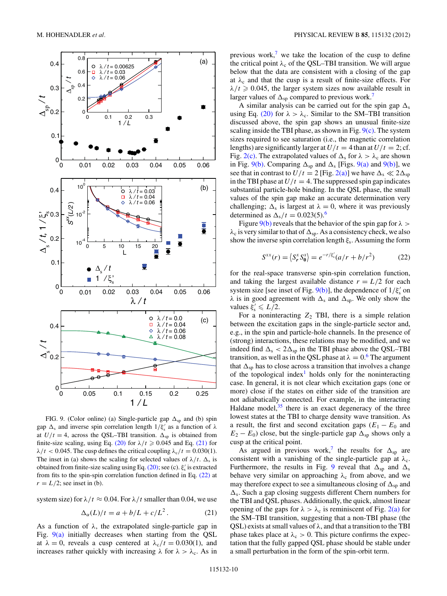<span id="page-9-0"></span>

FIG. 9. (Color online) (a) Single-particle gap  $\Delta_{sp}$  and (b) spin gap  $\Delta$ <sub>s</sub> and inverse spin correlation length  $1/\xi'$  as a function of  $\lambda$ at  $U/t = 4$ , across the QSL–TBI transition.  $\Delta_{sp}$  is obtained from finite-size scaling, using Eq. [\(20\)](#page-8-0) for  $\lambda/t \ge 0.045$  and Eq. (21) for  $\lambda/t < 0.045$ . The cusp defines the critical coupling  $\lambda_c/t = 0.030(1)$ . The inset in (a) shows the scaling for selected values of  $\lambda/t$ .  $\Delta_s$  is obtained from finite-size scaling using Eq.  $(20)$ ; see (c).  $\xi_s$  is extracted from fits to the spin-spin correlation function defined in Eq. (22) at  $r = L/2$ ; see inset in (b).

system size) for  $\lambda/t \approx 0.04$ . For  $\lambda/t$  smaller than 0.04, we use

$$
\Delta_{\alpha}(L)/t = a + b/L + c/L^2. \tag{21}
$$

As a function of  $\lambda$ , the extrapolated single-particle gap in Fig.  $9(a)$  initially decreases when starting from the QSL at  $\lambda = 0$ , reveals a cusp centered at  $\lambda_c/t = 0.030(1)$ , and increases rather quickly with increasing  $\lambda$  for  $\lambda > \lambda_c$ . As in

previous work, $\bar{y}$  we take the location of the cusp to define the critical point  $\lambda_c$  of the QSL–TBI transition. We will argue below that the data are consistent with a closing of the gap at  $\lambda_c$  and that the cusp is a result of finite-size effects. For  $\lambda/t \geqslant 0.045$ , the larger system sizes now available result in larger values of  $\Delta_{sp}$  compared to previous work.<sup>[7](#page-11-0)</sup>

A similar analysis can be carried out for the spin gap  $\Delta_s$ using Eq. [\(20\)](#page-8-0) for  $\lambda > \lambda_c$ . Similar to the SM-TBI transition discussed above, the spin gap shows an unusual finite-size scaling inside the TBI phase, as shown in Fig.  $9(c)$ . The system sizes required to see saturation (i.e., the magnetic correlation lengths) are significantly larger at  $U/t = 4$  than at  $U/t = 2$ ; cf. Fig. [2\(c\).](#page-4-0) The extrapolated values of  $\Delta_s$  for  $\lambda > \lambda_c$  are shown in Fig.  $9(b)$ . Comparing  $\Delta_{\text{sp}}$  and  $\Delta_{\text{s}}$  [Figs.  $9(a)$  and  $9(b)$ ], we see that in contrast to  $U/t = 2$  [Fig. [2\(a\)\]](#page-4-0) we have  $\Delta_s \ll 2\Delta_{sp}$ in the TBI phase at  $U/t = 4$ . The suppressed spin gap indicates substantial particle-hole binding. In the QSL phase, the small values of the spin gap make an accurate determination very challenging;  $\Delta_s$  is largest at  $\lambda = 0$ , where it was previously determined as  $\Delta_s/t = 0.023(5).^6$  $\Delta_s/t = 0.023(5).^6$ 

Figure 9(b) reveals that the behavior of the spin gap for *λ >*  $\lambda_c$  is very similar to that of  $\Delta_{\rm sp}$ . As a consistency check, we also show the inverse spin correlation length *ξ*s. Assuming the form

$$
S^{xx}(r) = \langle S_r^x S_0^x \rangle = e^{-r/\xi'_s} (a/r + b/r^2)
$$
 (22)

for the real-space transverse spin-spin correlation function, and taking the largest available distance  $r = L/2$  for each system size [see inset of Fig.  $9(b)$ ], the dependence of  $1/\xi_s'$  on  $\lambda$  is in good agreement with  $\Delta_s$  and  $\Delta_{sp}$ . We only show the values  $\xi'_{s} \le L/2$ .

For a noninteracting  $Z_2$  TBI, there is a simple relation between the excitation gaps in the single-particle sector and, e.g., in the spin and particle-hole channels. In the presence of (strong) interactions, these relations may be modified, and we indeed find  $\Delta$ <sub>s</sub> <  $2\Delta$ <sub>sp</sub> in the TBI phase above the QSL–TBI transition, as well as in the QSL phase at  $\lambda = 0.6$  $\lambda = 0.6$  The argument that  $\Delta_{\text{sp}}$  has to close across a transition that involves a change of the topological index<sup>[1](#page-11-0)</sup> holds only for the noninteracting case. In general, it is not clear which excitation gaps (one or more) close if the states on either side of the transition are not adiabatically connected. For example, in the interacting Haldane model, $35$  there is an exact degeneracy of the three lowest states at the TBI to charge density wave transition. As a result, the first and second excitation gaps  $(E_1 - E_0)$  and  $E_2 - E_0$ ) close, but the single-particle gap  $\Delta_{\text{sp}}$  shows only a cusp at the critical point.

As argued in previous work,<sup>[7](#page-11-0)</sup> the results for  $\Delta_{\text{sp}}$  are consistent with a vanishing of the single-particle gap at  $\lambda_c$ . Furthermore, the results in Fig. 9 reveal that  $\Delta_{\text{sp}}$  and  $\Delta_{\text{s}}$ behave very similar on approaching *λ*<sup>c</sup> from above, and we may therefore expect to see a simultaneous closing of  $\Delta_{sp}$  and Δ<sub>s</sub>. Such a gap closing suggests different Chern numbers for the TBI and QSL phases. Additionally, the quick, almost linear opening of the gaps for  $\lambda > \lambda_c$  is reminiscent of Fig. [2\(a\)](#page-4-0) for the SM–TBI transition, suggesting that a non-TBI phase (the QSL) exists at small values of *λ*, and that a transition to the TBI phase takes place at  $\lambda_c > 0$ . This picture confirms the expectation that the fully gapped QSL phase should be stable under a small perturbation in the form of the spin-orbit term.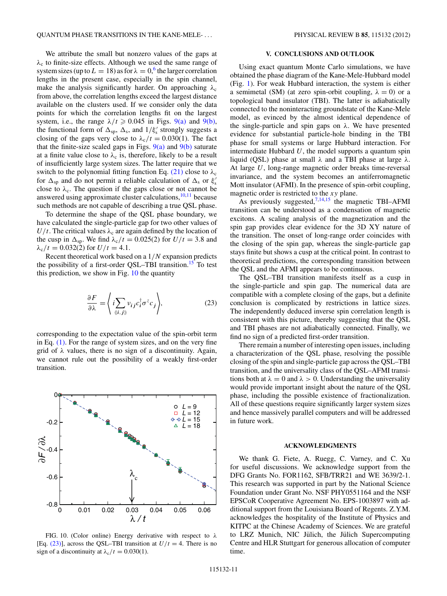<span id="page-10-0"></span>We attribute the small but nonzero values of the gaps at *λ*<sup>c</sup> to finite-size effects. Although we used the same range of system sizes (up to  $L = 18$ ) as for  $\lambda = 0$ , the larger correlation lengths in the present case, especially in the spin channel, make the analysis significantly harder. On approaching  $\lambda_c$ from above, the correlation lengths exceed the largest distance available on the clusters used. If we consider only the data points for which the correlation lengths fit on the largest system, i.e., the range  $\lambda/t \geqslant 0.045$  in Figs. [9\(a\)](#page-9-0) and [9\(b\),](#page-9-0) the functional form of  $\Delta_{sp}$ ,  $\Delta_s$ , and  $1/\xi_s'$  strongly suggests a closing of the gaps very close to  $\lambda_c/t = 0.030(1)$ . The fact that the finite-size scaled gaps in Figs.  $9(a)$  and  $9(b)$  saturate at a finite value close to  $\lambda_c$  is, therefore, likely to be a result of insufficiently large system sizes. The latter require that we switch to the polynomial fitting function Eq. [\(21\)](#page-9-0) close to  $\lambda_c$ for  $\Delta_{\text{sp}}$  and do not permit a reliable calculation of  $\Delta_{\text{s}}$  or  $\xi'_{\text{s}}$ close to  $\lambda_c$ . The question if the gaps close or not cannot be answered using approximate cluster calculations, $10,11$  because such methods are not capable of describing a true QSL phase.

To determine the shape of the QSL phase boundary, we have calculated the single-particle gap for two other values of  $U/t$ . The critical values  $\lambda_c$  are again defined by the location of the cusp in  $\Delta_{\rm sp}$ . We find  $\lambda_c/t = 0.025(2)$  for  $U/t = 3.8$  and  $λ_c/t = 0.032(2)$  for  $U/t = 4.1$ .

Recent theoretical work based on a 1*/N* expansion predicts the possibility of a first-order QSL–TBI transition.<sup>[15](#page-11-0)</sup> To test this prediction, we show in Fig. 10 the quantity

$$
\frac{\partial F}{\partial \lambda} = \left\langle i \sum_{\langle i,j \rangle} v_{ij} c_i^{\dagger} \sigma^z c_j \right\rangle, \tag{23}
$$

corresponding to the expectation value of the spin-orbit term in Eq. [\(1\).](#page-1-0) For the range of system sizes, and on the very fine grid of *λ* values, there is no sign of a discontinuity. Again, we cannot rule out the possibility of a weakly first-order transition.



FIG. 10. (Color online) Energy derivative with respect to *λ* [Eq.  $(23)$ ], across the QSL–TBI transition at  $U/t = 4$ . There is no sign of a discontinuity at  $\lambda_c/t = 0.030(1)$ .

# **V. CONCLUSIONS AND OUTLOOK**

Using exact quantum Monte Carlo simulations, we have obtained the phase diagram of the Kane-Mele-Hubbard model (Fig. [1\)](#page-3-0). For weak Hubbard interaction, the system is either a semimetal (SM) (at zero spin-orbit coupling,  $\lambda = 0$ ) or a topological band insulator (TBI). The latter is adiabatically connected to the noninteracting groundstate of the Kane-Mele model, as evinced by the almost identical dependence of the single-particle and spin gaps on *λ*. We have presented evidence for substantial particle-hole binding in the TBI phase for small systems or large Hubbard interaction. For intermediate Hubbard *U*, the model supports a quantum spin liquid (QSL) phase at small *λ* and a TBI phase at large *λ*. At large *U*, long-range magnetic order breaks time-reversal invariance, and the system becomes an antiferromagnetic Mott insulator (AFMI). In the presence of spin-orbit coupling, magnetic order is restricted to the *xy* plane.

As previously suggested, $7,14,15$  the magnetic TBI-AFMI transition can be understood as a condensation of magnetic excitons. A scaling analysis of the magnetization and the spin gap provides clear evidence for the 3D XY nature of the transition. The onset of long-range order coincides with the closing of the spin gap, whereas the single-particle gap stays finite but shows a cusp at the critical point. In contrast to theoretical predictions, the corresponding transition between the QSL and the AFMI appears to be continuous.

The QSL–TBI transition manifests itself as a cusp in the single-particle and spin gap. The numerical data are compatible with a complete closing of the gaps, but a definite conclusion is complicated by restrictions in lattice sizes. The independently deduced inverse spin correlation length is consistent with this picture, thereby suggesting that the QSL and TBI phases are not adiabatically connected. Finally, we find no sign of a predicted first-order transition.

There remain a number of interesting open issues, including a characterization of the QSL phase, resolving the possible closing of the spin and single-particle gap across the QSL–TBI transition, and the universality class of the QSL–AFMI transitions both at  $\lambda = 0$  and  $\lambda > 0$ . Understanding the universality would provide important insight about the nature of the QSL phase, including the possible existence of fractionalization. All of these questions require significantly larger system sizes and hence massively parallel computers and will be addressed in future work.

# **ACKNOWLEDGMENTS**

We thank G. Fiete, A. Ruegg, C. Varney, and C. Xu for useful discussions. We acknowledge support from the DFG Grants No. FOR1162, SFB/TRR21 and WE 3639/2-1. This research was supported in part by the National Science Foundation under Grant No. NSF PHY0551164 and the NSF EPSCoR Cooperative Agreement No. EPS-1003897 with additional support from the Louisiana Board of Regents. Z.Y.M. acknowledges the hospitality of the Institute of Physics and KITPC at the Chinese Academy of Sciences. We are grateful to LRZ Munich, NIC Jülich, the Jülich Supercomputing Centre and HLR Stuttgart for generous allocation of computer time.